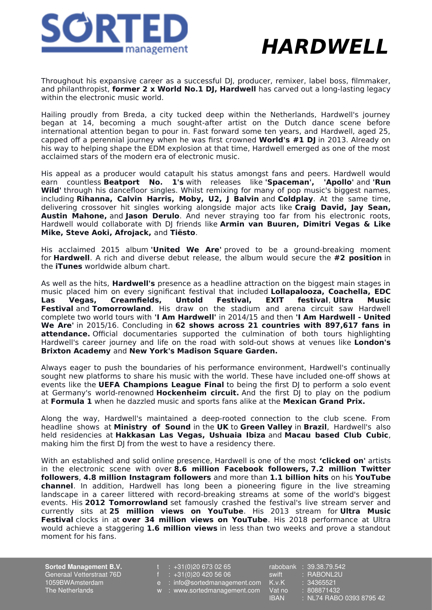

## **HARDWELL**

Throughout his expansive career as a successful DJ, producer, remixer, label boss, filmmaker, and philanthropist, **former 2 x World No.1 DJ, Hardwell** has carved out a long-lasting legacy within the electronic music world.

Hailing proudly from Breda, a city tucked deep within the Netherlands, Hardwell's journey began at 14, becoming a much sought-after artist on the Dutch dance scene before international attention began to pour in. Fast forward some ten years, and Hardwell, aged 25, capped off a perennial journey when he was first crowned **World's #1 DJ** in 2013. Already on his way to helping shape the EDM explosion at that time, Hardwell emerged as one of the most acclaimed stars of the modern era of electronic music.

His appeal as a producer would catapult his status amongst fans and peers. Hardwell would earn countless **Beatport No. 1's** with releases like **'Spaceman', 'Apollo'** and **'Run Wild'** through his dancefloor singles. Whilst remixing for many of pop music's biggest names, including **Rihanna, Calvin Harris, Moby, U2, J Balvin** and **Coldplay**. At the same time, delivering crossover hit singles working alongside major acts like **Craig David, Jay Sean, Austin Mahone,** and **Jason Derulo**. And never straying too far from his electronic roots, Hardwell would collaborate with DJ friends like **Armin van Buuren, Dimitri Vegas & Like Mike, Steve Aoki, Afrojack,** and **Tiësto**.

His acclaimed 2015 album **'United We Are'** proved to be a ground-breaking moment for **Hardwell**. A rich and diverse debut release, the album would secure the **#2 position** in the **iTunes** worldwide album chart.

As well as the hits, **Hardwell's** presence as a headline attraction on the biggest main stages in music placed him on every significant festival that included **Lollapalooza, Coachella, EDC Las Vegas, Creamfields, Untold Festival, EXIT festival**, **Ultra Music Festival** and **Tomorrowland**. His draw on the stadium and arena circuit saw Hardwell complete two world tours with **'I Am Hardwell'** in 2014/15 and then **'I Am Hardwell - United We Are'** in 2015/16. Concluding in **62 shows across 21 countries with 897,617 fans in attendance.** Official documentaries supported the culmination of both tours highlighting Hardwell's career journey and life on the road with sold-out shows at venues like **London's Brixton Academy** and **New York's Madison Square Garden.**

Always eager to push the boundaries of his performance environment, Hardwell's continually sought new platforms to share his music with the world. These have included one-off shows at events like the **UEFA Champions League Final** to being the first DJ to perform a solo event at Germany's world-renowned **Hockenheim circuit.** And the first DJ to play on the podium at **Formula 1** when he dazzled music and sports fans alike at the **Mexican Grand Prix.**

Along the way, Hardwell's maintained a deep-rooted connection to the club scene. From headline shows at **Ministry of Sound** in the **UK** to **Green Valley** in **Brazil**, Hardwell's also held residencies at **Hakkasan Las Vegas, Ushuaia Ibiza** and **Macau based Club Cubic**, making him the first DJ from the west to have a residency there.

With an established and solid online presence, Hardwell is one of the most **'clicked on'** artists in the electronic scene with over **8.6 million Facebook followers, 7.2 million Twitter followers**, **4.8 million Instagram followers** and more than **1.1 billion hits** on his **YouTube channel**. In addition, Hardwell has long been a pioneering figure in the live streaming landscape in a career littered with record-breaking streams at some of the world's biggest events. His **2012 Tomorrowland** set famously crashed the festival's live stream server and currently sits at **25 million views on YouTube**. His 2013 stream for **Ultra Music Festival** clocks in at **over 34 million views on YouTube**. His 2018 performance at Ultra would achieve a staggering **1.6 million views** in less than two weeks and prove a standout moment for his fans.

**Sorted Management B.V.** Generaal Vetterstraat 76D 1059BWAmsterdam The Netherlands

 $: +31(0)206730265$ 

- f  $\div$  +31(0)20 420 56 06
- e : info@sortedmanagement.com
- w : www.sortedmanagement.com
- rabobank : 39.38.79.542<br>
<u>swift : RABONL2U</u> : RABONL2U  $K.v.K$  : 34365521 Vat no : 808871432<br>IBAN : NL74 RAB0 : NL74 RABO 0393 8795 42